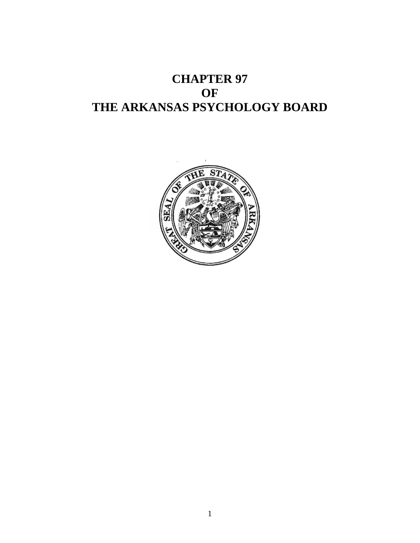# **CHAPTER 97 OF THE ARKANSAS PSYCHOLOGY BOARD**

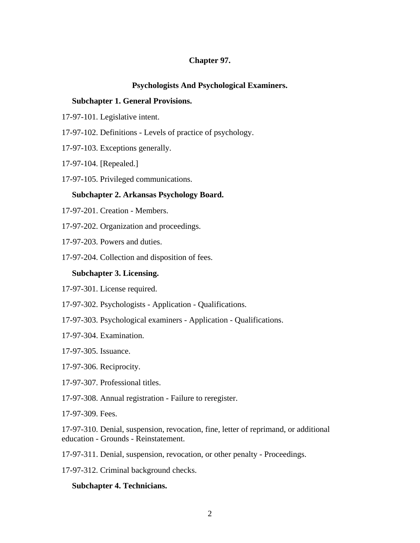## **Chapter 97.**

#### **Psychologists And Psychological Examiners.**

#### **Subchapter 1. General Provisions.**

- 17-97-101. Legislative intent.
- 17-97-102. Definitions Levels of practice of psychology.
- 17-97-103. Exceptions generally.
- 17-97-104. [Repealed.]
- 17-97-105. Privileged communications.

#### **Subchapter 2. Arkansas Psychology Board.**

- 17-97-201. Creation Members.
- 17-97-202. Organization and proceedings.
- 17-97-203. Powers and duties.
- 17-97-204. Collection and disposition of fees.

#### **Subchapter 3. Licensing.**

- 17-97-301. License required.
- 17-97-302. Psychologists Application Qualifications.
- 17-97-303. Psychological examiners Application Qualifications.
- 17-97-304. Examination.
- 17-97-305. Issuance.
- 17-97-306. Reciprocity.
- 17-97-307. Professional titles.
- 17-97-308. Annual registration Failure to reregister.

17-97-309. Fees.

17-97-310. Denial, suspension, revocation, fine, letter of reprimand, or additional education - Grounds - Reinstatement.

17-97-311. Denial, suspension, revocation, or other penalty - Proceedings.

17-97-312. Criminal background checks.

#### **Subchapter 4. Technicians.**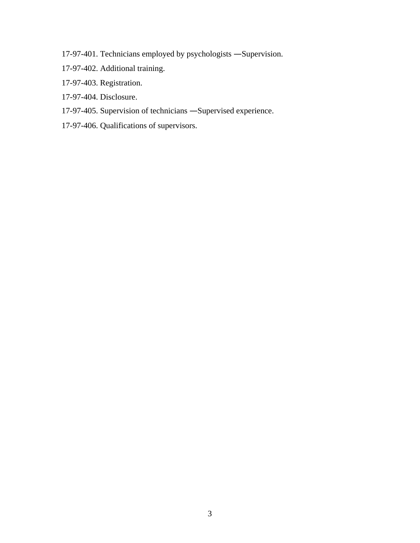- 17-97-401. Technicians employed by psychologists Supervision.
- 17-97-402. Additional training.
- 17-97-403. Registration.
- 17-97-404. Disclosure.
- 17-97-405. Supervision of technicians Supervised experience.
- 17-97-406. Qualifications of supervisors.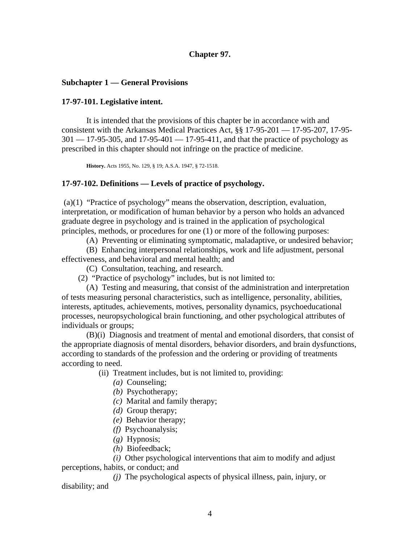## **Chapter 97.**

#### **Subchapter 1 — General Provisions**

#### **17-97-101. Legislative intent.**

It is intended that the provisions of this chapter be in accordance with and consistent with the Arkansas Medical Practices Act, §§ 17-95-201 — 17-95-207, 17-95-  $301 - 17 - 95 - 305$ , and  $17 - 95 - 401 - 17 - 95 - 411$ , and that the practice of psychology as prescribed in this chapter should not infringe on the practice of medicine.

**History.** Acts 1955, No. 129, § 19; A.S.A. 1947, § 72-1518.

#### **17-97-102. Definitions — Levels of practice of psychology.**

 (a)(1) "Practice of psychology" means the observation, description, evaluation, interpretation, or modification of human behavior by a person who holds an advanced graduate degree in psychology and is trained in the application of psychological principles, methods, or procedures for one (1) or more of the following purposes:

(A) Preventing or eliminating symptomatic, maladaptive, or undesired behavior;

 (B) Enhancing interpersonal relationships, work and life adjustment, personal effectiveness, and behavioral and mental health; and

- (C) Consultation, teaching, and research.
- (2) "Practice of psychology" includes, but is not limited to:

 (A) Testing and measuring, that consist of the administration and interpretation of tests measuring personal characteristics, such as intelligence, personality, abilities, interests, aptitudes, achievements, motives, personality dynamics, psychoeducational processes, neuropsychological brain functioning, and other psychological attributes of individuals or groups;

 (B)(i) Diagnosis and treatment of mental and emotional disorders, that consist of the appropriate diagnosis of mental disorders, behavior disorders, and brain dysfunctions, according to standards of the profession and the ordering or providing of treatments according to need.

(ii) Treatment includes, but is not limited to, providing:

- *(a)* Counseling;
- *(b)* Psychotherapy;
- *(c)* Marital and family therapy;
- *(d)* Group therapy;
- *(e)* Behavior therapy;
- *(f)* Psychoanalysis;
- *(g)* Hypnosis;
- *(h)* Biofeedback;

 *(i)* Other psychological interventions that aim to modify and adjust perceptions, habits, or conduct; and

 *(j)* The psychological aspects of physical illness, pain, injury, or disability; and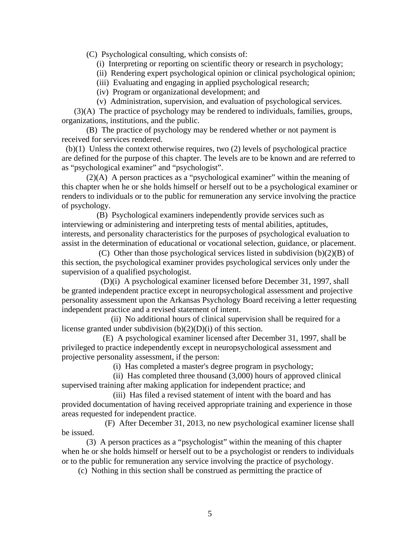(C) Psychological consulting, which consists of:

- (i) Interpreting or reporting on scientific theory or research in psychology;
- (ii) Rendering expert psychological opinion or clinical psychological opinion;
- (iii) Evaluating and engaging in applied psychological research;
- (iv) Program or organizational development; and
- (v) Administration, supervision, and evaluation of psychological services.

 (3)(A) The practice of psychology may be rendered to individuals, families, groups, organizations, institutions, and the public.

 (B) The practice of psychology may be rendered whether or not payment is received for services rendered.

 (b)(1) Unless the context otherwise requires, two (2) levels of psychological practice are defined for the purpose of this chapter. The levels are to be known and are referred to as "psychological examiner" and "psychologist".

 (2)(A) A person practices as a "psychological examiner" within the meaning of this chapter when he or she holds himself or herself out to be a psychological examiner or renders to individuals or to the public for remuneration any service involving the practice of psychology.

 (B) Psychological examiners independently provide services such as interviewing or administering and interpreting tests of mental abilities, aptitudes, interests, and personality characteristics for the purposes of psychological evaluation to assist in the determination of educational or vocational selection, guidance, or placement.

 (C) Other than those psychological services listed in subdivision (b)(2)(B) of this section, the psychological examiner provides psychological services only under the supervision of a qualified psychologist.

 (D)(i) A psychological examiner licensed before December 31, 1997, shall be granted independent practice except in neuropsychological assessment and projective personality assessment upon the Arkansas Psychology Board receiving a letter requesting independent practice and a revised statement of intent.

 (ii) No additional hours of clinical supervision shall be required for a license granted under subdivision (b)(2)(D)(i) of this section.

 (E) A psychological examiner licensed after December 31, 1997, shall be privileged to practice independently except in neuropsychological assessment and projective personality assessment, if the person:

(i) Has completed a master's degree program in psychology;

 (ii) Has completed three thousand (3,000) hours of approved clinical supervised training after making application for independent practice; and

 (iii) Has filed a revised statement of intent with the board and has provided documentation of having received appropriate training and experience in those areas requested for independent practice.

 (F) After December 31, 2013, no new psychological examiner license shall be issued.

 (3) A person practices as a "psychologist" within the meaning of this chapter when he or she holds himself or herself out to be a psychologist or renders to individuals or to the public for remuneration any service involving the practice of psychology.

(c) Nothing in this section shall be construed as permitting the practice of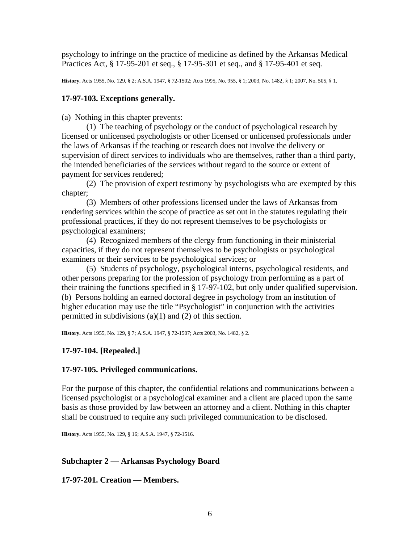psychology to infringe on the practice of medicine as defined by the Arkansas Medical Practices Act, § 17-95-201 et seq., § 17-95-301 et seq., and § 17-95-401 et seq.

**History.** Acts 1955, No. 129, § 2; A.S.A. 1947, § 72-1502; Acts 1995, No. 955, § 1; 2003, No. 1482, § 1; 2007, No. 505, § 1.

## **17-97-103. Exceptions generally.**

(a) Nothing in this chapter prevents:

 (1) The teaching of psychology or the conduct of psychological research by licensed or unlicensed psychologists or other licensed or unlicensed professionals under the laws of Arkansas if the teaching or research does not involve the delivery or supervision of direct services to individuals who are themselves, rather than a third party, the intended beneficiaries of the services without regard to the source or extent of payment for services rendered;

 (2) The provision of expert testimony by psychologists who are exempted by this chapter;

 (3) Members of other professions licensed under the laws of Arkansas from rendering services within the scope of practice as set out in the statutes regulating their professional practices, if they do not represent themselves to be psychologists or psychological examiners;

 (4) Recognized members of the clergy from functioning in their ministerial capacities, if they do not represent themselves to be psychologists or psychological examiners or their services to be psychological services; or

 (5) Students of psychology, psychological interns, psychological residents, and other persons preparing for the profession of psychology from performing as a part of their training the functions specified in § 17-97-102, but only under qualified supervision. (b) Persons holding an earned doctoral degree in psychology from an institution of higher education may use the title "Psychologist" in conjunction with the activities permitted in subdivisions (a)(1) and (2) of this section.

**History.** Acts 1955, No. 129, § 7; A.S.A. 1947, § 72-1507; Acts 2003, No. 1482, § 2.

# **17-97-104. [Repealed.]**

# **17-97-105. Privileged communications.**

For the purpose of this chapter, the confidential relations and communications between a licensed psychologist or a psychological examiner and a client are placed upon the same basis as those provided by law between an attorney and a client. Nothing in this chapter shall be construed to require any such privileged communication to be disclosed.

**History.** Acts 1955, No. 129, § 16; A.S.A. 1947, § 72-1516.

# **Subchapter 2 — Arkansas Psychology Board**

**17-97-201. Creation — Members.**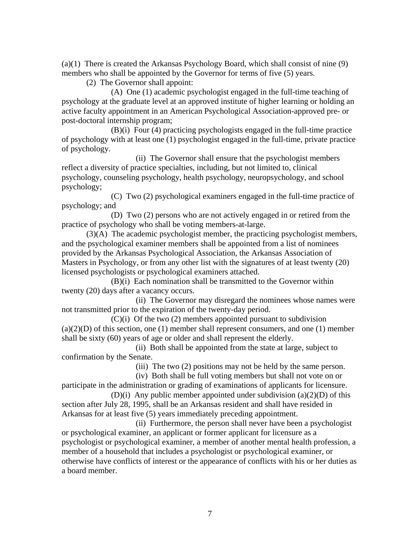(a)(1) There is created the Arkansas Psychology Board, which shall consist of nine (9) members who shall be appointed by the Governor for terms of five (5) years.

(2) The Governor shall appoint:

 (A) One (1) academic psychologist engaged in the full-time teaching of psychology at the graduate level at an approved institute of higher learning or holding an active faculty appointment in an American Psychological Association-approved pre- or post-doctoral internship program;

 (B)(i) Four (4) practicing psychologists engaged in the full-time practice of psychology with at least one (1) psychologist engaged in the full-time, private practice of psychology.

 (ii) The Governor shall ensure that the psychologist members reflect a diversity of practice specialties, including, but not limited to, clinical psychology, counseling psychology, health psychology, neuropsychology, and school psychology;

 (C) Two (2) psychological examiners engaged in the full-time practice of psychology; and

 (D) Two (2) persons who are not actively engaged in or retired from the practice of psychology who shall be voting members-at-large.

 (3)(A) The academic psychologist member, the practicing psychologist members, and the psychological examiner members shall be appointed from a list of nominees provided by the Arkansas Psychological Association, the Arkansas Association of Masters in Psychology, or from any other list with the signatures of at least twenty (20) licensed psychologists or psychological examiners attached.

 (B)(i) Each nomination shall be transmitted to the Governor within twenty (20) days after a vacancy occurs.

 (ii) The Governor may disregard the nominees whose names were not transmitted prior to the expiration of the twenty-day period.

 $(C)(i)$  Of the two  $(2)$  members appointed pursuant to subdivision  $(a)(2)(D)$  of this section, one (1) member shall represent consumers, and one (1) member shall be sixty (60) years of age or older and shall represent the elderly.

 (ii) Both shall be appointed from the state at large, subject to confirmation by the Senate.

(iii) The two (2) positions may not be held by the same person.

(iv) Both shall be full voting members but shall not vote on or

participate in the administration or grading of examinations of applicants for licensure. (D)(i) Any public member appointed under subdivision (a)(2)(D) of this

section after July 28, 1995, shall be an Arkansas resident and shall have resided in Arkansas for at least five (5) years immediately preceding appointment.

 (ii) Furthermore, the person shall never have been a psychologist or psychological examiner, an applicant or former applicant for licensure as a psychologist or psychological examiner, a member of another mental health profession, a member of a household that includes a psychologist or psychological examiner, or otherwise have conflicts of interest or the appearance of conflicts with his or her duties as a board member.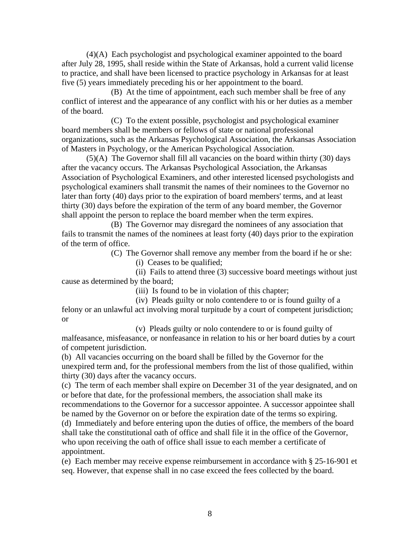(4)(A) Each psychologist and psychological examiner appointed to the board after July 28, 1995, shall reside within the State of Arkansas, hold a current valid license to practice, and shall have been licensed to practice psychology in Arkansas for at least five (5) years immediately preceding his or her appointment to the board.

 (B) At the time of appointment, each such member shall be free of any conflict of interest and the appearance of any conflict with his or her duties as a member of the board.

 (C) To the extent possible, psychologist and psychological examiner board members shall be members or fellows of state or national professional organizations, such as the Arkansas Psychological Association, the Arkansas Association of Masters in Psychology, or the American Psychological Association.

 (5)(A) The Governor shall fill all vacancies on the board within thirty (30) days after the vacancy occurs. The Arkansas Psychological Association, the Arkansas Association of Psychological Examiners, and other interested licensed psychologists and psychological examiners shall transmit the names of their nominees to the Governor no later than forty (40) days prior to the expiration of board members' terms, and at least thirty (30) days before the expiration of the term of any board member, the Governor shall appoint the person to replace the board member when the term expires.

 (B) The Governor may disregard the nominees of any association that fails to transmit the names of the nominees at least forty (40) days prior to the expiration of the term of office.

(C) The Governor shall remove any member from the board if he or she:

(i) Ceases to be qualified;

 (ii) Fails to attend three (3) successive board meetings without just cause as determined by the board;

(iii) Is found to be in violation of this chapter;

 (iv) Pleads guilty or nolo contendere to or is found guilty of a felony or an unlawful act involving moral turpitude by a court of competent jurisdiction; or

 (v) Pleads guilty or nolo contendere to or is found guilty of malfeasance, misfeasance, or nonfeasance in relation to his or her board duties by a court of competent jurisdiction.

(b) All vacancies occurring on the board shall be filled by the Governor for the unexpired term and, for the professional members from the list of those qualified, within thirty (30) days after the vacancy occurs.

(c) The term of each member shall expire on December 31 of the year designated, and on or before that date, for the professional members, the association shall make its recommendations to the Governor for a successor appointee. A successor appointee shall

be named by the Governor on or before the expiration date of the terms so expiring. (d) Immediately and before entering upon the duties of office, the members of the board shall take the constitutional oath of office and shall file it in the office of the Governor, who upon receiving the oath of office shall issue to each member a certificate of appointment.

(e) Each member may receive expense reimbursement in accordance with § 25-16-901 et seq. However, that expense shall in no case exceed the fees collected by the board.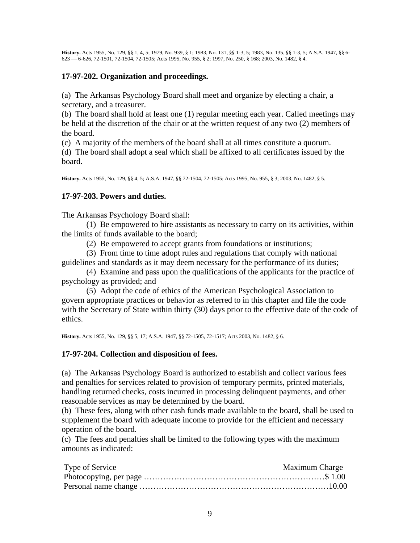**History.** Acts 1955, No. 129, §§ 1, 4, 5; 1979, No. 939, § 1; 1983, No. 131, §§ 1-3, 5; 1983, No. 135, §§ 1-3, 5; A.S.A. 1947, §§ 6- 623 — 6-626, 72-1501, 72-1504, 72-1505; Acts 1995, No. 955, § 2; 1997, No. 250, § 168; 2003, No. 1482, § 4.

## **17-97-202. Organization and proceedings.**

(a) The Arkansas Psychology Board shall meet and organize by electing a chair, a secretary, and a treasurer.

(b) The board shall hold at least one (1) regular meeting each year. Called meetings may be held at the discretion of the chair or at the written request of any two (2) members of the board.

(c) A majority of the members of the board shall at all times constitute a quorum.

(d) The board shall adopt a seal which shall be affixed to all certificates issued by the board.

**History.** Acts 1955, No. 129, §§ 4, 5; A.S.A. 1947, §§ 72-1504, 72-1505; Acts 1995, No. 955, § 3; 2003, No. 1482, § 5.

## **17-97-203. Powers and duties.**

The Arkansas Psychology Board shall:

 (1) Be empowered to hire assistants as necessary to carry on its activities, within the limits of funds available to the board;

(2) Be empowered to accept grants from foundations or institutions;

 (3) From time to time adopt rules and regulations that comply with national guidelines and standards as it may deem necessary for the performance of its duties;

 (4) Examine and pass upon the qualifications of the applicants for the practice of psychology as provided; and

 (5) Adopt the code of ethics of the American Psychological Association to govern appropriate practices or behavior as referred to in this chapter and file the code with the Secretary of State within thirty (30) days prior to the effective date of the code of ethics.

**History.** Acts 1955, No. 129, §§ 5, 17; A.S.A. 1947, §§ 72-1505, 72-1517; Acts 2003, No. 1482, § 6.

## **17-97-204. Collection and disposition of fees.**

(a) The Arkansas Psychology Board is authorized to establish and collect various fees and penalties for services related to provision of temporary permits, printed materials, handling returned checks, costs incurred in processing delinquent payments, and other reasonable services as may be determined by the board.

(b) These fees, along with other cash funds made available to the board, shall be used to supplement the board with adequate income to provide for the efficient and necessary operation of the board.

(c) The fees and penalties shall be limited to the following types with the maximum amounts as indicated:

| Type of Service | <b>Maximum Charge</b> |
|-----------------|-----------------------|
|                 |                       |
|                 |                       |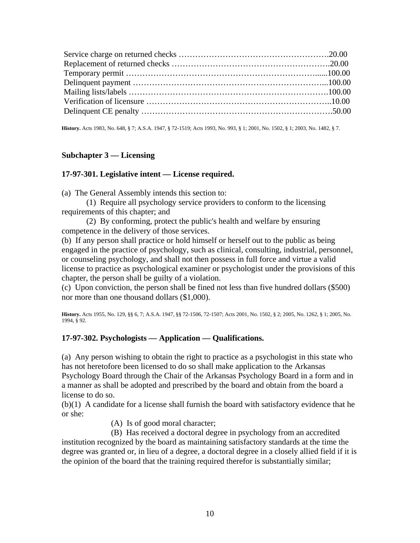**History.** Acts 1983, No. 648, § 7; A.S.A. 1947, § 72-1519; Acts 1993, No. 993, § 1; 2001, No. 1502, § 1; 2003, No. 1482, § 7.

#### **Subchapter 3 — Licensing**

#### **17-97-301. Legislative intent — License required.**

(a) The General Assembly intends this section to:

 (1) Require all psychology service providers to conform to the licensing requirements of this chapter; and

 (2) By conforming, protect the public's health and welfare by ensuring competence in the delivery of those services.

(b) If any person shall practice or hold himself or herself out to the public as being engaged in the practice of psychology, such as clinical, consulting, industrial, personnel, or counseling psychology, and shall not then possess in full force and virtue a valid license to practice as psychological examiner or psychologist under the provisions of this chapter, the person shall be guilty of a violation.

(c) Upon conviction, the person shall be fined not less than five hundred dollars (\$500) nor more than one thousand dollars (\$1,000).

**History.** Acts 1955, No. 129, §§ 6, 7; A.S.A. 1947, §§ 72-1506, 72-1507; Acts 2001, No. 1502, § 2; 2005, No. 1262, § 1; 2005, No. 1994, § 92.

## **17-97-302. Psychologists — Application — Qualifications.**

(a) Any person wishing to obtain the right to practice as a psychologist in this state who has not heretofore been licensed to do so shall make application to the Arkansas Psychology Board through the Chair of the Arkansas Psychology Board in a form and in a manner as shall be adopted and prescribed by the board and obtain from the board a license to do so.

(b)(1) A candidate for a license shall furnish the board with satisfactory evidence that he or she:

(A) Is of good moral character;

 (B) Has received a doctoral degree in psychology from an accredited institution recognized by the board as maintaining satisfactory standards at the time the degree was granted or, in lieu of a degree, a doctoral degree in a closely allied field if it is the opinion of the board that the training required therefor is substantially similar;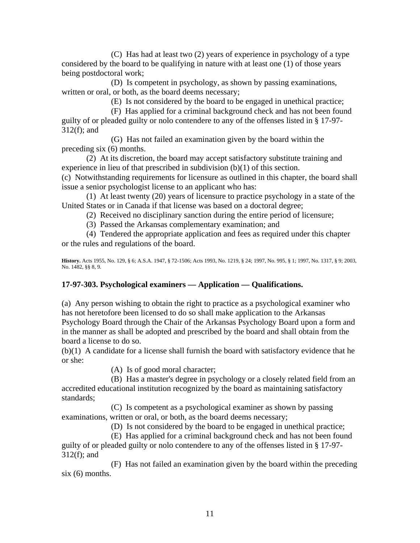(C) Has had at least two (2) years of experience in psychology of a type considered by the board to be qualifying in nature with at least one (1) of those years being postdoctoral work;

 (D) Is competent in psychology, as shown by passing examinations, written or oral, or both, as the board deems necessary;

(E) Is not considered by the board to be engaged in unethical practice;

 (F) Has applied for a criminal background check and has not been found guilty of or pleaded guilty or nolo contendere to any of the offenses listed in § 17-97- 312(f); and

 (G) Has not failed an examination given by the board within the preceding six (6) months.

 (2) At its discretion, the board may accept satisfactory substitute training and experience in lieu of that prescribed in subdivision (b)(1) of this section.

(c) Notwithstanding requirements for licensure as outlined in this chapter, the board shall issue a senior psychologist license to an applicant who has:

 (1) At least twenty (20) years of licensure to practice psychology in a state of the United States or in Canada if that license was based on a doctoral degree;

(2) Received no disciplinary sanction during the entire period of licensure;

(3) Passed the Arkansas complementary examination; and

 (4) Tendered the appropriate application and fees as required under this chapter or the rules and regulations of the board.

**History.** Acts 1955, No. 129, § 6; A.S.A. 1947, § 72-1506; Acts 1993, No. 1219, § 24; 1997, No. 995, § 1; 1997, No. 1317, § 9; 2003, No. 1482, §§ 8, 9.

# **17-97-303. Psychological examiners — Application — Qualifications.**

(a) Any person wishing to obtain the right to practice as a psychological examiner who has not heretofore been licensed to do so shall make application to the Arkansas Psychology Board through the Chair of the Arkansas Psychology Board upon a form and in the manner as shall be adopted and prescribed by the board and shall obtain from the board a license to do so.

(b)(1) A candidate for a license shall furnish the board with satisfactory evidence that he or she:

(A) Is of good moral character;

 (B) Has a master's degree in psychology or a closely related field from an accredited educational institution recognized by the board as maintaining satisfactory standards;

 (C) Is competent as a psychological examiner as shown by passing examinations, written or oral, or both, as the board deems necessary;

(D) Is not considered by the board to be engaged in unethical practice;

 (E) Has applied for a criminal background check and has not been found guilty of or pleaded guilty or nolo contendere to any of the offenses listed in § 17-97- 312(f); and

 (F) Has not failed an examination given by the board within the preceding  $six(6)$  months.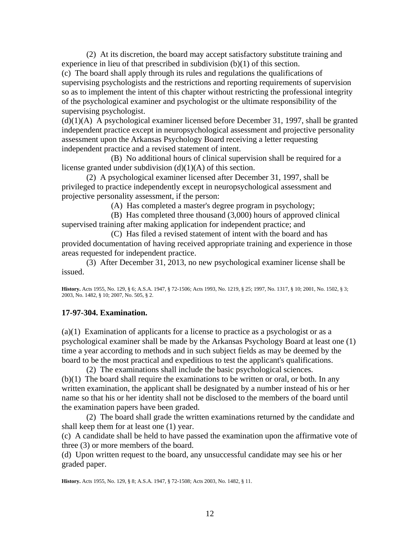(2) At its discretion, the board may accept satisfactory substitute training and experience in lieu of that prescribed in subdivision (b)(1) of this section.

(c) The board shall apply through its rules and regulations the qualifications of supervising psychologists and the restrictions and reporting requirements of supervision so as to implement the intent of this chapter without restricting the professional integrity of the psychological examiner and psychologist or the ultimate responsibility of the supervising psychologist.

 $(d)(1)(A)$  A psychological examiner licensed before December 31, 1997, shall be granted independent practice except in neuropsychological assessment and projective personality assessment upon the Arkansas Psychology Board receiving a letter requesting independent practice and a revised statement of intent.

 (B) No additional hours of clinical supervision shall be required for a license granted under subdivision  $(d)(1)(A)$  of this section.

 (2) A psychological examiner licensed after December 31, 1997, shall be privileged to practice independently except in neuropsychological assessment and projective personality assessment, if the person:

(A) Has completed a master's degree program in psychology;

 (B) Has completed three thousand (3,000) hours of approved clinical supervised training after making application for independent practice; and

 (C) Has filed a revised statement of intent with the board and has provided documentation of having received appropriate training and experience in those areas requested for independent practice.

 (3) After December 31, 2013, no new psychological examiner license shall be issued.

**History.** Acts 1955, No. 129, § 6; A.S.A. 1947, § 72-1506; Acts 1993, No. 1219, § 25; 1997, No. 1317, § 10; 2001, No. 1502, § 3; 2003, No. 1482, § 10; 2007, No. 505, § 2.

# **17-97-304. Examination.**

(a)(1) Examination of applicants for a license to practice as a psychologist or as a psychological examiner shall be made by the Arkansas Psychology Board at least one (1) time a year according to methods and in such subject fields as may be deemed by the board to be the most practical and expeditious to test the applicant's qualifications.

 (2) The examinations shall include the basic psychological sciences. (b)(1) The board shall require the examinations to be written or oral, or both. In any written examination, the applicant shall be designated by a number instead of his or her name so that his or her identity shall not be disclosed to the members of the board until the examination papers have been graded.

 (2) The board shall grade the written examinations returned by the candidate and shall keep them for at least one (1) year.

(c) A candidate shall be held to have passed the examination upon the affirmative vote of three (3) or more members of the board.

(d) Upon written request to the board, any unsuccessful candidate may see his or her graded paper.

**History.** Acts 1955, No. 129, § 8; A.S.A. 1947, § 72-1508; Acts 2003, No. 1482, § 11.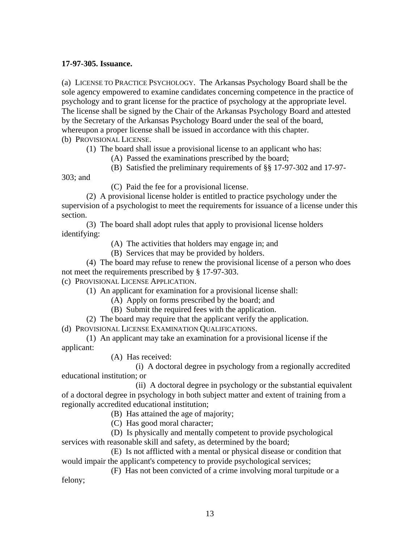## **17-97-305. Issuance.**

(a) LICENSE TO PRACTICE PSYCHOLOGY. The Arkansas Psychology Board shall be the sole agency empowered to examine candidates concerning competence in the practice of psychology and to grant license for the practice of psychology at the appropriate level. The license shall be signed by the Chair of the Arkansas Psychology Board and attested by the Secretary of the Arkansas Psychology Board under the seal of the board, whereupon a proper license shall be issued in accordance with this chapter. (b) PROVISIONAL LICENSE.

(1) The board shall issue a provisional license to an applicant who has:

(A) Passed the examinations prescribed by the board;

(B) Satisfied the preliminary requirements of §§ 17-97-302 and 17-97-

303; and

(C) Paid the fee for a provisional license.

 (2) A provisional license holder is entitled to practice psychology under the supervision of a psychologist to meet the requirements for issuance of a license under this section.

 (3) The board shall adopt rules that apply to provisional license holders identifying:

(A) The activities that holders may engage in; and

(B) Services that may be provided by holders.

 (4) The board may refuse to renew the provisional license of a person who does not meet the requirements prescribed by § 17-97-303.

(c) PROVISIONAL LICENSE APPLICATION.

(1) An applicant for examination for a provisional license shall:

(A) Apply on forms prescribed by the board; and

- (B) Submit the required fees with the application.
- (2) The board may require that the applicant verify the application.

(d) PROVISIONAL LICENSE EXAMINATION QUALIFICATIONS.

 (1) An applicant may take an examination for a provisional license if the applicant:

(A) Has received:

 (i) A doctoral degree in psychology from a regionally accredited educational institution; or

 (ii) A doctoral degree in psychology or the substantial equivalent of a doctoral degree in psychology in both subject matter and extent of training from a regionally accredited educational institution;

(B) Has attained the age of majority;

(C) Has good moral character;

 (D) Is physically and mentally competent to provide psychological services with reasonable skill and safety, as determined by the board;

 (E) Is not afflicted with a mental or physical disease or condition that would impair the applicant's competency to provide psychological services;

 (F) Has not been convicted of a crime involving moral turpitude or a felony;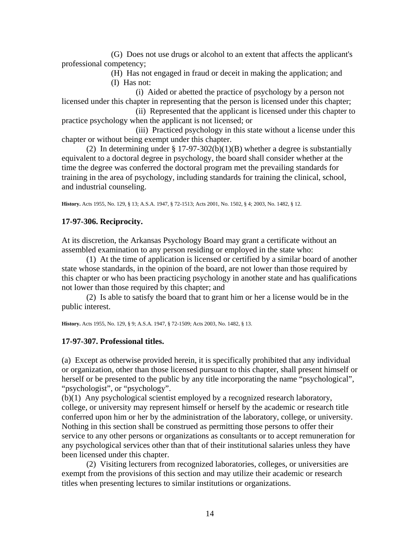(G) Does not use drugs or alcohol to an extent that affects the applicant's professional competency;

> (H) Has not engaged in fraud or deceit in making the application; and (I) Has not:

 (i) Aided or abetted the practice of psychology by a person not licensed under this chapter in representing that the person is licensed under this chapter;

 (ii) Represented that the applicant is licensed under this chapter to practice psychology when the applicant is not licensed; or

 (iii) Practiced psychology in this state without a license under this chapter or without being exempt under this chapter.

(2) In determining under  $\S 17-97-302(b)(1)(B)$  whether a degree is substantially equivalent to a doctoral degree in psychology, the board shall consider whether at the time the degree was conferred the doctoral program met the prevailing standards for training in the area of psychology, including standards for training the clinical, school, and industrial counseling.

**History.** Acts 1955, No. 129, § 13; A.S.A. 1947, § 72-1513; Acts 2001, No. 1502, § 4; 2003, No. 1482, § 12.

## **17-97-306. Reciprocity.**

At its discretion, the Arkansas Psychology Board may grant a certificate without an assembled examination to any person residing or employed in the state who:

 (1) At the time of application is licensed or certified by a similar board of another state whose standards, in the opinion of the board, are not lower than those required by this chapter or who has been practicing psychology in another state and has qualifications not lower than those required by this chapter; and

 (2) Is able to satisfy the board that to grant him or her a license would be in the public interest.

**History.** Acts 1955, No. 129, § 9; A.S.A. 1947, § 72-1509; Acts 2003, No. 1482, § 13.

## **17-97-307. Professional titles.**

(a) Except as otherwise provided herein, it is specifically prohibited that any individual or organization, other than those licensed pursuant to this chapter, shall present himself or herself or be presented to the public by any title incorporating the name "psychological", "psychologist", or "psychology".

(b)(1) Any psychological scientist employed by a recognized research laboratory, college, or university may represent himself or herself by the academic or research title conferred upon him or her by the administration of the laboratory, college, or university. Nothing in this section shall be construed as permitting those persons to offer their service to any other persons or organizations as consultants or to accept remuneration for any psychological services other than that of their institutional salaries unless they have been licensed under this chapter.

 (2) Visiting lecturers from recognized laboratories, colleges, or universities are exempt from the provisions of this section and may utilize their academic or research titles when presenting lectures to similar institutions or organizations.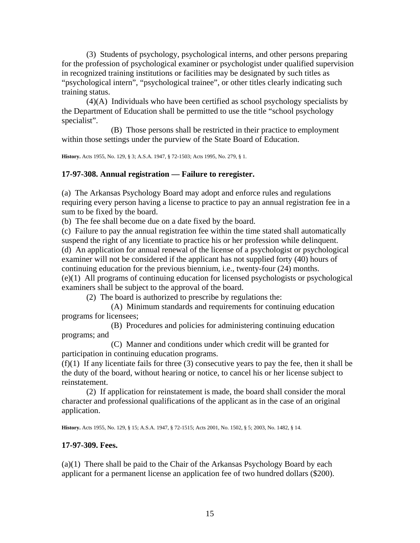(3) Students of psychology, psychological interns, and other persons preparing for the profession of psychological examiner or psychologist under qualified supervision in recognized training institutions or facilities may be designated by such titles as "psychological intern", "psychological trainee", or other titles clearly indicating such training status.

 (4)(A) Individuals who have been certified as school psychology specialists by the Department of Education shall be permitted to use the title "school psychology specialist".

 (B) Those persons shall be restricted in their practice to employment within those settings under the purview of the State Board of Education.

**History.** Acts 1955, No. 129, § 3; A.S.A. 1947, § 72-1503; Acts 1995, No. 279, § 1.

#### **17-97-308. Annual registration — Failure to reregister.**

(a) The Arkansas Psychology Board may adopt and enforce rules and regulations requiring every person having a license to practice to pay an annual registration fee in a sum to be fixed by the board.

(b) The fee shall become due on a date fixed by the board.

(c) Failure to pay the annual registration fee within the time stated shall automatically suspend the right of any licentiate to practice his or her profession while delinquent. (d) An application for annual renewal of the license of a psychologist or psychological examiner will not be considered if the applicant has not supplied forty (40) hours of continuing education for the previous biennium, i.e., twenty-four (24) months. (e)(1) All programs of continuing education for licensed psychologists or psychological examiners shall be subject to the approval of the board.

(2) The board is authorized to prescribe by regulations the:

 (A) Minimum standards and requirements for continuing education programs for licensees;

 (B) Procedures and policies for administering continuing education programs; and

 (C) Manner and conditions under which credit will be granted for participation in continuing education programs.

 $(f)(1)$  If any licentiate fails for three (3) consecutive years to pay the fee, then it shall be the duty of the board, without hearing or notice, to cancel his or her license subject to reinstatement.

 (2) If application for reinstatement is made, the board shall consider the moral character and professional qualifications of the applicant as in the case of an original application.

**History.** Acts 1955, No. 129, § 15; A.S.A. 1947, § 72-1515; Acts 2001, No. 1502, § 5; 2003, No. 1482, § 14.

#### **17-97-309. Fees.**

(a)(1) There shall be paid to the Chair of the Arkansas Psychology Board by each applicant for a permanent license an application fee of two hundred dollars (\$200).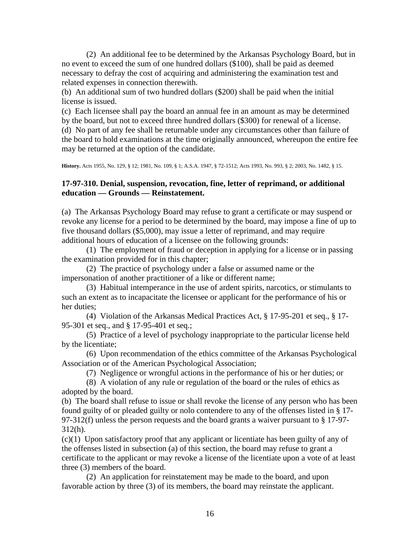(2) An additional fee to be determined by the Arkansas Psychology Board, but in no event to exceed the sum of one hundred dollars (\$100), shall be paid as deemed necessary to defray the cost of acquiring and administering the examination test and related expenses in connection therewith.

(b) An additional sum of two hundred dollars (\$200) shall be paid when the initial license is issued.

(c) Each licensee shall pay the board an annual fee in an amount as may be determined by the board, but not to exceed three hundred dollars (\$300) for renewal of a license. (d) No part of any fee shall be returnable under any circumstances other than failure of the board to hold examinations at the time originally announced, whereupon the entire fee may be returned at the option of the candidate.

**History.** Acts 1955, No. 129, § 12; 1981, No. 109, § 1; A.S.A. 1947, § 72-1512; Acts 1993, No. 993, § 2; 2003, No. 1482, § 15.

## **17-97-310. Denial, suspension, revocation, fine, letter of reprimand, or additional education — Grounds — Reinstatement.**

(a) The Arkansas Psychology Board may refuse to grant a certificate or may suspend or revoke any license for a period to be determined by the board, may impose a fine of up to five thousand dollars (\$5,000), may issue a letter of reprimand, and may require additional hours of education of a licensee on the following grounds:

 (1) The employment of fraud or deception in applying for a license or in passing the examination provided for in this chapter;

 (2) The practice of psychology under a false or assumed name or the impersonation of another practitioner of a like or different name;

 (3) Habitual intemperance in the use of ardent spirits, narcotics, or stimulants to such an extent as to incapacitate the licensee or applicant for the performance of his or her duties;

 (4) Violation of the Arkansas Medical Practices Act, § 17-95-201 et seq., § 17- 95-301 et seq., and § 17-95-401 et seq.;

 (5) Practice of a level of psychology inappropriate to the particular license held by the licentiate;

 (6) Upon recommendation of the ethics committee of the Arkansas Psychological Association or of the American Psychological Association;

(7) Negligence or wrongful actions in the performance of his or her duties; or

 (8) A violation of any rule or regulation of the board or the rules of ethics as adopted by the board.

(b) The board shall refuse to issue or shall revoke the license of any person who has been found guilty of or pleaded guilty or nolo contendere to any of the offenses listed in § 17- 97-312(f) unless the person requests and the board grants a waiver pursuant to § 17-97- 312(h).

(c)(1) Upon satisfactory proof that any applicant or licentiate has been guilty of any of the offenses listed in subsection (a) of this section, the board may refuse to grant a certificate to the applicant or may revoke a license of the licentiate upon a vote of at least three (3) members of the board.

 (2) An application for reinstatement may be made to the board, and upon favorable action by three (3) of its members, the board may reinstate the applicant.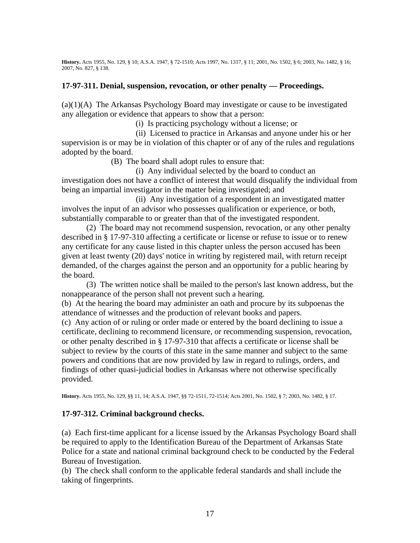**History.** Acts 1955, No. 129, § 10; A.S.A. 1947, § 72-1510; Acts 1997, No. 1317, § 11; 2001, No. 1502, § 6; 2003, No. 1482, § 16; 2007, No. 827, § 138.

#### **17-97-311. Denial, suspension, revocation, or other penalty — Proceedings.**

(a)(1)(A) The Arkansas Psychology Board may investigate or cause to be investigated any allegation or evidence that appears to show that a person:

(i) Is practicing psychology without a license; or

 (ii) Licensed to practice in Arkansas and anyone under his or her supervision is or may be in violation of this chapter or of any of the rules and regulations adopted by the board.

(B) The board shall adopt rules to ensure that:

 (i) Any individual selected by the board to conduct an investigation does not have a conflict of interest that would disqualify the individual from being an impartial investigator in the matter being investigated; and

 (ii) Any investigation of a respondent in an investigated matter involves the input of an advisor who possesses qualification or experience, or both, substantially comparable to or greater than that of the investigated respondent.

 (2) The board may not recommend suspension, revocation, or any other penalty described in § 17-97-310 affecting a certificate or license or refuse to issue or to renew any certificate for any cause listed in this chapter unless the person accused has been given at least twenty (20) days' notice in writing by registered mail, with return receipt demanded, of the charges against the person and an opportunity for a public hearing by the board.

 (3) The written notice shall be mailed to the person's last known address, but the nonappearance of the person shall not prevent such a hearing.

(b) At the hearing the board may administer an oath and procure by its subpoenas the attendance of witnesses and the production of relevant books and papers.

(c) Any action of or ruling or order made or entered by the board declining to issue a certificate, declining to recommend licensure, or recommending suspension, revocation, or other penalty described in § 17-97-310 that affects a certificate or license shall be subject to review by the courts of this state in the same manner and subject to the same powers and conditions that are now provided by law in regard to rulings, orders, and findings of other quasi-judicial bodies in Arkansas where not otherwise specifically provided.

**History.** Acts 1955, No. 129, §§ 11, 14; A.S.A. 1947, §§ 72-1511, 72-1514; Acts 2001, No. 1502, § 7; 2003, No. 1482, § 17.

## **17-97-312. Criminal background checks.**

(a) Each first-time applicant for a license issued by the Arkansas Psychology Board shall be required to apply to the Identification Bureau of the Department of Arkansas State Police for a state and national criminal background check to be conducted by the Federal Bureau of Investigation.

(b) The check shall conform to the applicable federal standards and shall include the taking of fingerprints.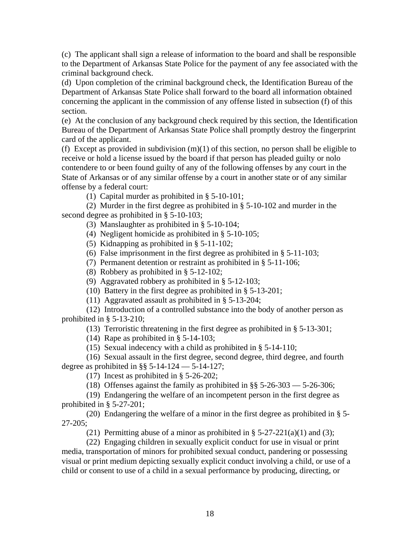(c) The applicant shall sign a release of information to the board and shall be responsible to the Department of Arkansas State Police for the payment of any fee associated with the criminal background check.

(d) Upon completion of the criminal background check, the Identification Bureau of the Department of Arkansas State Police shall forward to the board all information obtained concerning the applicant in the commission of any offense listed in subsection (f) of this section.

(e) At the conclusion of any background check required by this section, the Identification Bureau of the Department of Arkansas State Police shall promptly destroy the fingerprint card of the applicant.

(f) Except as provided in subdivision  $(m)(1)$  of this section, no person shall be eligible to receive or hold a license issued by the board if that person has pleaded guilty or nolo contendere to or been found guilty of any of the following offenses by any court in the State of Arkansas or of any similar offense by a court in another state or of any similar offense by a federal court:

(1) Capital murder as prohibited in § 5-10-101;

 (2) Murder in the first degree as prohibited in § 5-10-102 and murder in the second degree as prohibited in § 5-10-103;

(3) Manslaughter as prohibited in § 5-10-104;

(4) Negligent homicide as prohibited in § 5-10-105;

(5) Kidnapping as prohibited in § 5-11-102;

(6) False imprisonment in the first degree as prohibited in § 5-11-103;

(7) Permanent detention or restraint as prohibited in § 5-11-106;

(8) Robbery as prohibited in § 5-12-102;

(9) Aggravated robbery as prohibited in § 5-12-103;

(10) Battery in the first degree as prohibited in § 5-13-201;

(11) Aggravated assault as prohibited in § 5-13-204;

 (12) Introduction of a controlled substance into the body of another person as prohibited in § 5-13-210;

(13) Terroristic threatening in the first degree as prohibited in § 5-13-301;

(14) Rape as prohibited in § 5-14-103;

(15) Sexual indecency with a child as prohibited in § 5-14-110;

 (16) Sexual assault in the first degree, second degree, third degree, and fourth degree as prohibited in  $\S$ § 5-14-124 — 5-14-127;

(17) Incest as prohibited in § 5-26-202;

(18) Offenses against the family as prohibited in  $\S$ § 5-26-303 — 5-26-306;

 (19) Endangering the welfare of an incompetent person in the first degree as prohibited in § 5-27-201;

 (20) Endangering the welfare of a minor in the first degree as prohibited in § 5- 27-205;

(21) Permitting abuse of a minor as prohibited in  $\S 5-27-221(a)(1)$  and (3);

 (22) Engaging children in sexually explicit conduct for use in visual or print media, transportation of minors for prohibited sexual conduct, pandering or possessing visual or print medium depicting sexually explicit conduct involving a child, or use of a child or consent to use of a child in a sexual performance by producing, directing, or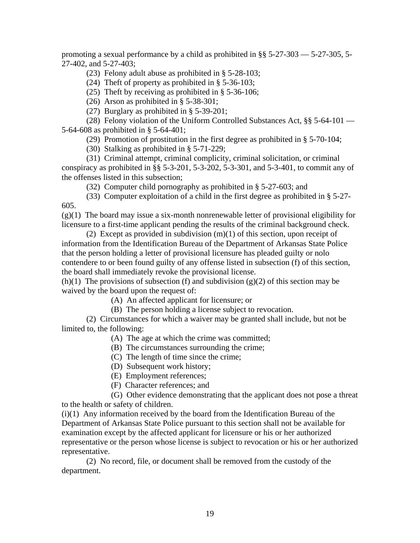promoting a sexual performance by a child as prohibited in §§ 5-27-303 — 5-27-305, 5- 27-402, and 5-27-403;

(23) Felony adult abuse as prohibited in § 5-28-103;

(24) Theft of property as prohibited in § 5-36-103;

(25) Theft by receiving as prohibited in § 5-36-106;

(26) Arson as prohibited in § 5-38-301;

(27) Burglary as prohibited in § 5-39-201;

 (28) Felony violation of the Uniform Controlled Substances Act, §§ 5-64-101 — 5-64-608 as prohibited in § 5-64-401;

(29) Promotion of prostitution in the first degree as prohibited in § 5-70-104;

(30) Stalking as prohibited in § 5-71-229;

 (31) Criminal attempt, criminal complicity, criminal solicitation, or criminal conspiracy as prohibited in §§ 5-3-201, 5-3-202, 5-3-301, and 5-3-401, to commit any of the offenses listed in this subsection;

(32) Computer child pornography as prohibited in § 5-27-603; and

 (33) Computer exploitation of a child in the first degree as prohibited in § 5-27- 605.

 $(g)(1)$  The board may issue a six-month nonrenewable letter of provisional eligibility for licensure to a first-time applicant pending the results of the criminal background check.

 (2) Except as provided in subdivision (m)(1) of this section, upon receipt of information from the Identification Bureau of the Department of Arkansas State Police that the person holding a letter of provisional licensure has pleaded guilty or nolo contendere to or been found guilty of any offense listed in subsection (f) of this section, the board shall immediately revoke the provisional license.

(h)(1) The provisions of subsection (f) and subdivision (g)(2) of this section may be waived by the board upon the request of:

(A) An affected applicant for licensure; or

(B) The person holding a license subject to revocation.

 (2) Circumstances for which a waiver may be granted shall include, but not be limited to, the following:

(A) The age at which the crime was committed;

(B) The circumstances surrounding the crime;

(C) The length of time since the crime;

(D) Subsequent work history;

(E) Employment references;

(F) Character references; and

 (G) Other evidence demonstrating that the applicant does not pose a threat to the health or safety of children.

(i)(1) Any information received by the board from the Identification Bureau of the Department of Arkansas State Police pursuant to this section shall not be available for examination except by the affected applicant for licensure or his or her authorized representative or the person whose license is subject to revocation or his or her authorized representative.

 (2) No record, file, or document shall be removed from the custody of the department.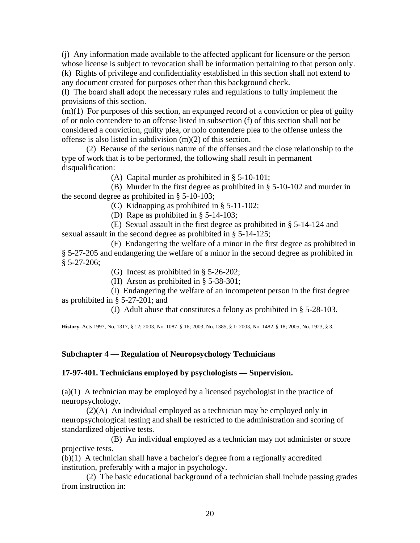(j) Any information made available to the affected applicant for licensure or the person whose license is subject to revocation shall be information pertaining to that person only. (k) Rights of privilege and confidentiality established in this section shall not extend to

any document created for purposes other than this background check.

(l) The board shall adopt the necessary rules and regulations to fully implement the provisions of this section.

 $(m)(1)$  For purposes of this section, an expunged record of a conviction or plea of guilty of or nolo contendere to an offense listed in subsection (f) of this section shall not be considered a conviction, guilty plea, or nolo contendere plea to the offense unless the offense is also listed in subdivision (m)(2) of this section.

 (2) Because of the serious nature of the offenses and the close relationship to the type of work that is to be performed, the following shall result in permanent disqualification:

(A) Capital murder as prohibited in § 5-10-101;

 (B) Murder in the first degree as prohibited in § 5-10-102 and murder in the second degree as prohibited in § 5-10-103;

(C) Kidnapping as prohibited in § 5-11-102;

(D) Rape as prohibited in § 5-14-103;

 (E) Sexual assault in the first degree as prohibited in § 5-14-124 and sexual assault in the second degree as prohibited in § 5-14-125;

 (F) Endangering the welfare of a minor in the first degree as prohibited in § 5-27-205 and endangering the welfare of a minor in the second degree as prohibited in  $§ 5-27-206;$ 

(G) Incest as prohibited in § 5-26-202;

(H) Arson as prohibited in § 5-38-301;

 (I) Endangering the welfare of an incompetent person in the first degree as prohibited in § 5-27-201; and

(J) Adult abuse that constitutes a felony as prohibited in § 5-28-103.

**History.** Acts 1997, No. 1317, § 12; 2003, No. 1087, § 16; 2003, No. 1385, § 1; 2003, No. 1482, § 18; 2005, No. 1923, § 3.

## **Subchapter 4 — Regulation of Neuropsychology Technicians**

#### **17-97-401. Technicians employed by psychologists — Supervision.**

(a)(1) A technician may be employed by a licensed psychologist in the practice of neuropsychology.

 (2)(A) An individual employed as a technician may be employed only in neuropsychological testing and shall be restricted to the administration and scoring of standardized objective tests.

 (B) An individual employed as a technician may not administer or score projective tests.

(b)(1) A technician shall have a bachelor's degree from a regionally accredited institution, preferably with a major in psychology.

 (2) The basic educational background of a technician shall include passing grades from instruction in: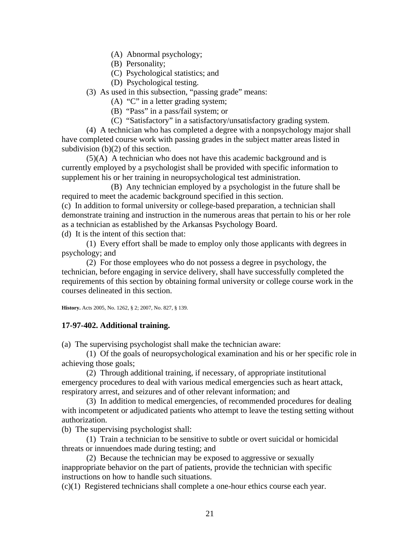- (A) Abnormal psychology;
- (B) Personality;
- (C) Psychological statistics; and
- (D) Psychological testing.
- (3) As used in this subsection, "passing grade" means:
	- (A) "C" in a letter grading system;
	- (B) "Pass" in a pass/fail system; or
	- (C) "Satisfactory" in a satisfactory/unsatisfactory grading system.

 (4) A technician who has completed a degree with a nonpsychology major shall have completed course work with passing grades in the subject matter areas listed in subdivision (b)(2) of this section.

 (5)(A) A technician who does not have this academic background and is currently employed by a psychologist shall be provided with specific information to supplement his or her training in neuropsychological test administration.

 (B) Any technician employed by a psychologist in the future shall be required to meet the academic background specified in this section.

(c) In addition to formal university or college-based preparation, a technician shall demonstrate training and instruction in the numerous areas that pertain to his or her role as a technician as established by the Arkansas Psychology Board. (d) It is the intent of this section that:

(1) Every effort shall be made to employ only those applicants with degrees in

psychology; and

 (2) For those employees who do not possess a degree in psychology, the technician, before engaging in service delivery, shall have successfully completed the requirements of this section by obtaining formal university or college course work in the courses delineated in this section.

**History.** Acts 2005, No. 1262, § 2; 2007, No. 827, § 139.

## **17-97-402. Additional training.**

(a) The supervising psychologist shall make the technician aware:

 (1) Of the goals of neuropsychological examination and his or her specific role in achieving those goals;

 (2) Through additional training, if necessary, of appropriate institutional emergency procedures to deal with various medical emergencies such as heart attack, respiratory arrest, and seizures and of other relevant information; and

 (3) In addition to medical emergencies, of recommended procedures for dealing with incompetent or adjudicated patients who attempt to leave the testing setting without authorization.

(b) The supervising psychologist shall:

 (1) Train a technician to be sensitive to subtle or overt suicidal or homicidal threats or innuendoes made during testing; and

 (2) Because the technician may be exposed to aggressive or sexually inappropriate behavior on the part of patients, provide the technician with specific instructions on how to handle such situations.

(c)(1) Registered technicians shall complete a one-hour ethics course each year.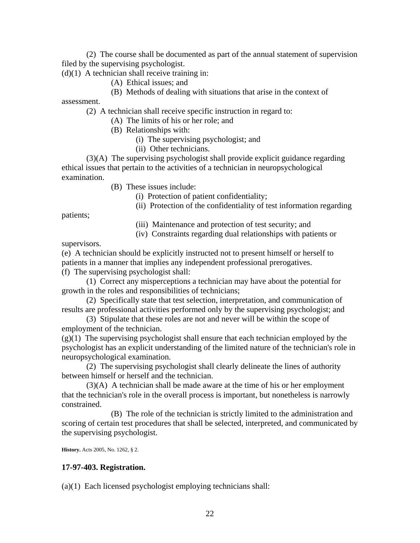(2) The course shall be documented as part of the annual statement of supervision filed by the supervising psychologist.

 $(d)(1)$  A technician shall receive training in:

- (A) Ethical issues; and
- (B) Methods of dealing with situations that arise in the context of

assessment.

(2) A technician shall receive specific instruction in regard to:

- (A) The limits of his or her role; and
- (B) Relationships with:
	- (i) The supervising psychologist; and
	- (ii) Other technicians.

 (3)(A) The supervising psychologist shall provide explicit guidance regarding ethical issues that pertain to the activities of a technician in neuropsychological examination.

- (B) These issues include:
	- (i) Protection of patient confidentiality;
	- (ii) Protection of the confidentiality of test information regarding

patients;

- (iii) Maintenance and protection of test security; and
- (iv) Constraints regarding dual relationships with patients or

supervisors.

(e) A technician should be explicitly instructed not to present himself or herself to patients in a manner that implies any independent professional prerogatives.

(f) The supervising psychologist shall:

 (1) Correct any misperceptions a technician may have about the potential for growth in the roles and responsibilities of technicians;

 (2) Specifically state that test selection, interpretation, and communication of results are professional activities performed only by the supervising psychologist; and

 (3) Stipulate that these roles are not and never will be within the scope of employment of the technician.

 $(g(1)$  The supervising psychologist shall ensure that each technician employed by the psychologist has an explicit understanding of the limited nature of the technician's role in neuropsychological examination.

 (2) The supervising psychologist shall clearly delineate the lines of authority between himself or herself and the technician.

 (3)(A) A technician shall be made aware at the time of his or her employment that the technician's role in the overall process is important, but nonetheless is narrowly constrained.

 (B) The role of the technician is strictly limited to the administration and scoring of certain test procedures that shall be selected, interpreted, and communicated by the supervising psychologist.

**History.** Acts 2005, No. 1262, § 2.

## **17-97-403. Registration.**

(a)(1) Each licensed psychologist employing technicians shall: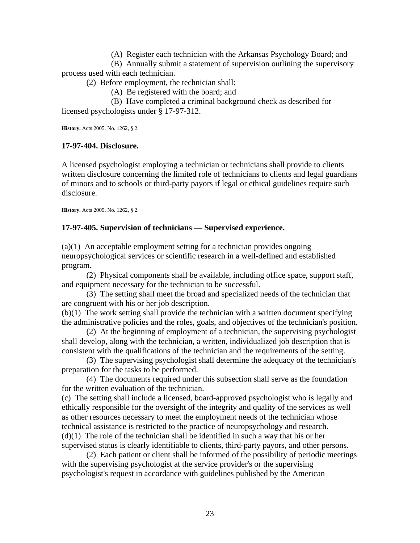(A) Register each technician with the Arkansas Psychology Board; and

 (B) Annually submit a statement of supervision outlining the supervisory process used with each technician.

(2) Before employment, the technician shall:

(A) Be registered with the board; and

 (B) Have completed a criminal background check as described for licensed psychologists under § 17-97-312.

**History.** Acts 2005, No. 1262, § 2.

## **17-97-404. Disclosure.**

A licensed psychologist employing a technician or technicians shall provide to clients written disclosure concerning the limited role of technicians to clients and legal guardians of minors and to schools or third-party payors if legal or ethical guidelines require such disclosure.

**History.** Acts 2005, No. 1262, § 2.

# **17-97-405. Supervision of technicians — Supervised experience.**

(a)(1) An acceptable employment setting for a technician provides ongoing neuropsychological services or scientific research in a well-defined and established program.

 (2) Physical components shall be available, including office space, support staff, and equipment necessary for the technician to be successful.

 (3) The setting shall meet the broad and specialized needs of the technician that are congruent with his or her job description.

(b)(1) The work setting shall provide the technician with a written document specifying the administrative policies and the roles, goals, and objectives of the technician's position.

 (2) At the beginning of employment of a technician, the supervising psychologist shall develop, along with the technician, a written, individualized job description that is consistent with the qualifications of the technician and the requirements of the setting.

 (3) The supervising psychologist shall determine the adequacy of the technician's preparation for the tasks to be performed.

 (4) The documents required under this subsection shall serve as the foundation for the written evaluation of the technician.

(c) The setting shall include a licensed, board-approved psychologist who is legally and ethically responsible for the oversight of the integrity and quality of the services as well as other resources necessary to meet the employment needs of the technician whose technical assistance is restricted to the practice of neuropsychology and research.  $(d)(1)$  The role of the technician shall be identified in such a way that his or her supervised status is clearly identifiable to clients, third-party payors, and other persons.

 (2) Each patient or client shall be informed of the possibility of periodic meetings with the supervising psychologist at the service provider's or the supervising psychologist's request in accordance with guidelines published by the American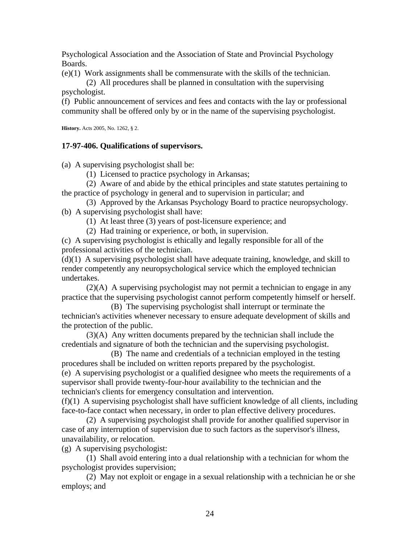Psychological Association and the Association of State and Provincial Psychology Boards.

(e)(1) Work assignments shall be commensurate with the skills of the technician.

 (2) All procedures shall be planned in consultation with the supervising psychologist.

(f) Public announcement of services and fees and contacts with the lay or professional community shall be offered only by or in the name of the supervising psychologist.

**History.** Acts 2005, No. 1262, § 2.

## **17-97-406. Qualifications of supervisors.**

(a) A supervising psychologist shall be:

(1) Licensed to practice psychology in Arkansas;

 (2) Aware of and abide by the ethical principles and state statutes pertaining to the practice of psychology in general and to supervision in particular; and

 (3) Approved by the Arkansas Psychology Board to practice neuropsychology. (b) A supervising psychologist shall have:

(1) At least three (3) years of post-licensure experience; and

(2) Had training or experience, or both, in supervision.

(c) A supervising psychologist is ethically and legally responsible for all of the professional activities of the technician.

(d)(1) A supervising psychologist shall have adequate training, knowledge, and skill to render competently any neuropsychological service which the employed technician undertakes.

 (2)(A) A supervising psychologist may not permit a technician to engage in any practice that the supervising psychologist cannot perform competently himself or herself.

 (B) The supervising psychologist shall interrupt or terminate the technician's activities whenever necessary to ensure adequate development of skills and the protection of the public.

 (3)(A) Any written documents prepared by the technician shall include the credentials and signature of both the technician and the supervising psychologist.

 (B) The name and credentials of a technician employed in the testing procedures shall be included on written reports prepared by the psychologist. (e) A supervising psychologist or a qualified designee who meets the requirements of a supervisor shall provide twenty-four-hour availability to the technician and the technician's clients for emergency consultation and intervention.

(f)(1) A supervising psychologist shall have sufficient knowledge of all clients, including face-to-face contact when necessary, in order to plan effective delivery procedures.

 (2) A supervising psychologist shall provide for another qualified supervisor in case of any interruption of supervision due to such factors as the supervisor's illness, unavailability, or relocation.

(g) A supervising psychologist:

 (1) Shall avoid entering into a dual relationship with a technician for whom the psychologist provides supervision;

 (2) May not exploit or engage in a sexual relationship with a technician he or she employs; and